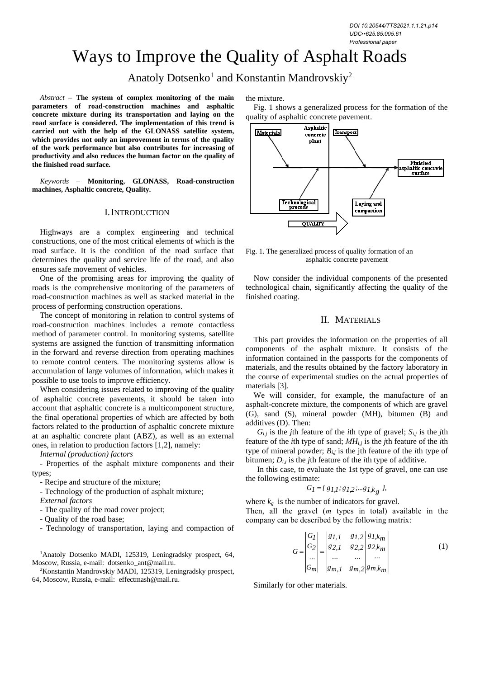# Ways to Improve the Quality of Asphalt Roads

Anatoly Dotsenko<sup>1</sup> and Konstantin Mandrovskiy<sup>2</sup>

*Abstract –* **The system of complex monitoring of the main parameters of road-construction machines and asphaltic concrete mixture during its transportation and laying on the road surface is considered. The implementation of this trend is carried out with the help of the GLONASS satellite system, which provides not only an improvement in terms of the quality of the work performance but also contributes for increasing of productivity and also reduces the human factor on the quality of the finished road surface.**

*Keywords –* **Monitoring, GLONASS, Road-construction machines, Asphaltic concrete, Quality.**

#### I.INTRODUCTION

Highways are a complex engineering and technical constructions, one of the most critical elements of which is the road surface. It is the condition of the road surface that determines the quality and service life of the road, and also ensures safe movement of vehicles.

One of the promising areas for improving the quality of roads is the comprehensive monitoring of the parameters of road-construction machines as well as stacked material in the process of performing construction operations.

The concept of monitoring in relation to control systems of road-construction machines includes a remote contactless method of parameter control. In monitoring systems, satellite systems are assigned the function of transmitting information in the forward and reverse direction from operating machines to remote control centers. The monitoring systems allow is accumulation of large volumes of information, which makes it possible to use tools to improve efficiency.

When considering issues related to improving of the quality of asphaltic concrete pavements, it should be taken into account that asphaltic concrete is a multicomponent structure, the final operational properties of which are affected by both factors related to the production of asphaltic concrete mixture at an asphaltic concrete plant (ABZ), as well as an external ones, in relation to production factors [1,2], namely:

*Internal (production) factors*

- Properties of the asphalt mixture components and their types;

- Recipe and structure of the mixture;

- Technology of the production of asphalt mixture;

*External factors*

- The quality of the road cover project;

- Quality of the road base;

- Technology of transportation, laying and compaction of

<sup>1</sup>Anatoly Dotsenko MADI, 125319, Leningradsky prospect, 64, Moscow, Russia, e-mail: dotsenko\_ant@mail.ru.

<sup>2</sup>Konstantin Mandrovskiy MADI, 125319, Leningradsky prospect, 64, Moscow, Russia, e-mail: effectmash@mail.ru.

the mixture.

Fig. 1 shows a generalized process for the formation of the quality of asphaltic concrete pavement.



Fig. 1. The generalized process of quality formation of an asphaltic concrete pavement

Now consider the individual components of the presented technological chain, significantly affecting the quality of the finished coating.

#### II. MATERIALS

This part provides the information on the properties of all components of the asphalt mixture. It consists of the information contained in the passports for the components of materials, and the results obtained by the factory laboratory in the course of experimental studies on the actual properties of materials [3].

We will consider, for example, the manufacture of an asphalt-concrete mixture, the components of which are gravel (G), sand (S), mineral powder (МH), bitumen (B) and additives (D). Then:

 $G_{i,j}$  is the *j*th feature of the *i*th type of gravel;  $S_{i,j}$  is the *j*th feature of the *i*th type of sand; *МHi,j* is the *j*th feature of the *i*th type of mineral powder;  $B_{i,j}$  is the jth feature of the *i*th type of bitumen; *Di,j* is the *j*th feature of the *i*th type of additive.

In this case, to evaluate the 1st type of gravel, one can use the following estimate:

$$
G_I = \{ g_{I,I}; g_{I,2}; \ldots g_{I,k_g} \},
$$

where  $k_{g}$  is the number of indicators for gravel. Then, all the gravel (*m* types in total) available in the company can be described by the following matrix:

$$
G = \begin{vmatrix} G_I \\ G_2 \\ \dots \\ G_m \end{vmatrix} = \begin{vmatrix} g_{I,1} & g_{I,2} & g_{I,k_m} \\ g_{2,1} & g_{2,2} & g_{2,k_m} \\ \dots & \dots & \dots \\ g_{m,1} & g_{m,2} & g_{m,k_m} \end{vmatrix}
$$
(1)

Similarly for other materials.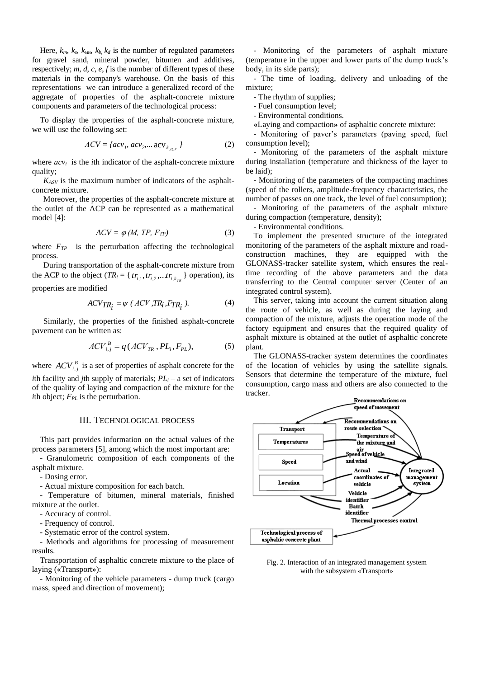Here,  $k_m$ ,  $k_s$ ,  $k_{\text{MH}}$ ,  $k_b$ ,  $k_d$  is the number of regulated parameters for gravel sand, mineral powder, bitumen and additives, respectively; *m*, *d*, *c*, *e*, *f* is the number of different types of these materials in the company's warehouse. On the basis of this representations we can introduce a generalized record of the aggregate of properties of the asphalt-concrete mixture components and parameters of the technological process:

To display the properties of the asphalt-concrete mixture, we will use the following set:

$$
ACV = \{acy_{p} \, acv_{2} \dots acv_{k_{ACV}}\}
$$
 (2)

where  $acv_i$  is the *i*th indicator of the asphalt-concrete mixture quality;

*KASV* is the maximum number of indicators of the asphaltconcrete mixture.

Moreover, the properties of the asphalt-concrete mixture at the outlet of the ACP can be represented as a mathematical model [4]:

$$
ACV = \varphi \left( M, TP, F_{TP} \right) \tag{3}
$$

where  $F_{TP}$  is the perturbation affecting the technological process.

During transportation of the asphalt-concrete mixture from the ACP to the object ( $TR_i = \{tr_{i,1}, tr_{i,2},...tr_{i,k_{TR}}\}$  operation), its properties are modified

$$
ACV_{TR_i} = \psi \ (ACV, TR_i, F_{TR_i}). \tag{4}
$$

Similarly, the properties of the finished asphalt-concrete pavement can be written as:

$$
ACV_{i,j}^{B} = q(ACV_{TR_i}, PL_i, F_{PL}),
$$
 (5)

where  $ACV_{i,j}^B$  is a set of properties of asphalt concrete for the *i*th facility and *j*th supply of materials;  $PL_i - a$  set of indicators of the quality of laying and compaction of the mixture for the *i*th object; *FPL* is the perturbation.

#### III. TECHNOLOGICAL PROCESS

This part provides information on the actual values of the process parameters [5], among which the most important are:

- Granulometric composition of each components of the asphalt mixture.

- Dosing error.

- Actual mixture composition for each batch.

- Temperature of bitumen, mineral materials, finished mixture at the outlet.

- Accuracy of control.

- Frequency of control.

- Systematic error of the control system.

- Methods and algorithms for processing of measurement results.

Transportation of asphaltic concrete mixture to the place of laying (**«**Transport**»**):

- Monitoring of the vehicle parameters - dump truck (cargo mass, speed and direction of movement);

- Monitoring of the parameters of asphalt mixture (temperature in the upper and lower parts of the dump truck's body, in its side parts);

- The time of loading, delivery and unloading of the mixture;

- The rhythm of supplies;

- Fuel consumption level;

- Environmental conditions.

**«**Laying and compaction**»** of asphaltic concrete mixture:

- Monitoring of paver's parameters (paving speed, fuel consumption level);

- Monitoring of the parameters of the asphalt mixture during installation (temperature and thickness of the layer to be laid);

- Monitoring of the parameters of the compacting machines (speed of the rollers, amplitude-frequency characteristics, the number of passes on one track, the level of fuel consumption);

- Monitoring of the parameters of the asphalt mixture during compaction (temperature, density);

- Environmental conditions.

To implement the presented structure of the integrated monitoring of the parameters of the asphalt mixture and roadconstruction machines, they are equipped with the GLONASS-tracker satellite system, which ensures the realtime recording of the above parameters and the data transferring to the Central computer server (Center of an integrated control system).

This server, taking into account the current situation along the route of vehicle, as well as during the laying and compaction of the mixture, adjusts the operation mode of the factory equipment and ensures that the required quality of asphalt mixture is obtained at the outlet of asphaltic concrete plant.

The GLONASS-tracker system determines the coordinates of the location of vehicles by using the satellite signals. Sensors that determine the temperature of the mixture, fuel consumption, cargo mass and others are also connected to the tracker.



Fig. 2. Interaction of an integrated management system with the subsystem «Transport»